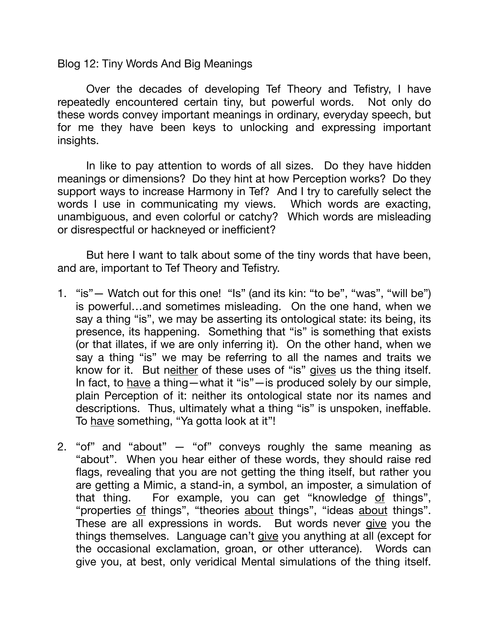Blog 12: Tiny Words And Big Meanings

Over the decades of developing Tef Theory and Tefistry, I have repeatedly encountered certain tiny, but powerful words. Not only do these words convey important meanings in ordinary, everyday speech, but for me they have been keys to unlocking and expressing important insights.

In like to pay attention to words of all sizes. Do they have hidden meanings or dimensions? Do they hint at how Perception works? Do they support ways to increase Harmony in Tef? And I try to carefully select the words I use in communicating my views. Which words are exacting, unambiguous, and even colorful or catchy? Which words are misleading or disrespectful or hackneyed or inefficient?

But here I want to talk about some of the tiny words that have been, and are, important to Tef Theory and Tefistry.

- 1. "is"— Watch out for this one! "Is" (and its kin: "to be", "was", "will be") is powerful…and sometimes misleading. On the one hand, when we say a thing "is", we may be asserting its ontological state: its being, its presence, its happening. Something that "is" is something that exists (or that illates, if we are only inferring it). On the other hand, when we say a thing "is" we may be referring to all the names and traits we know for it. But neither of these uses of "is" gives us the thing itself. In fact, to have a thing—what it "is"—is produced solely by our simple, plain Perception of it: neither its ontological state nor its names and descriptions. Thus, ultimately what a thing "is" is unspoken, ineffable. To have something, "Ya gotta look at it"!
- 2. "of" and "about" "of" conveys roughly the same meaning as "about". When you hear either of these words, they should raise red flags, revealing that you are not getting the thing itself, but rather you are getting a Mimic, a stand-in, a symbol, an imposter, a simulation of that thing. For example, you can get "knowledge of things", "properties of things", "theories about things", "ideas about things". These are all expressions in words. But words never give you the things themselves. Language can't give you anything at all (except for the occasional exclamation, groan, or other utterance). Words can give you, at best, only veridical Mental simulations of the thing itself.